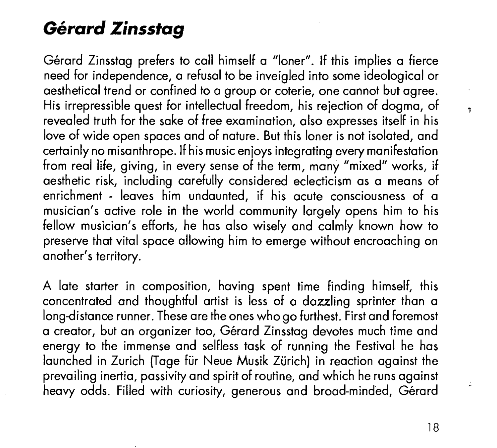# **Gerard** *Zinsstag*

Gérard Zinsstag prefers to call himself a "loner". If this implies a fierce need for independence, a refusal to be inveigled into some ideological or aesthetical trend or confined to a group or coterie, one cannot but agree. His irrepressible quest for intellectual freedom, his rejection of dogma, of revealed truth for the sake of free examination, also expresses itself in his love of wide open spaces and of nature. But this loner is not isolated, and certainly no misanthrope. If his music enjoys integrating every manifestation from real life, giving, in every sense of the term, many "mixed" works, if aesthetic risk, including carefully considered eclecticism as a means of enrichment - leaves him undaunted, if his acute consciousness of a musician's active role in the world community largely opens him to his fellow musician's efforts, he has also wisely and calmly known how to preserve that vital space allowing him to emerge without encroaching on another's territory.

A late starter in composition, having spent time finding himself, this concentrated and thoughtful artist is less of a dazzling sprinter than a long-distance runner. These are the ones who go furthest. First and foremost a creator, but an organizer too, Gérard Zinsstag devotes much time and energy to the immense and selfless task of running the Festival he has launched in Zurich (Tage für Neue Musik Zürich) in reaction against the prevailing inertia, passivity and spirit of routine, and which he runs against heavy odds. Filled with curiosity, generous and broad-minded, Gérard  $\mathbf{r}$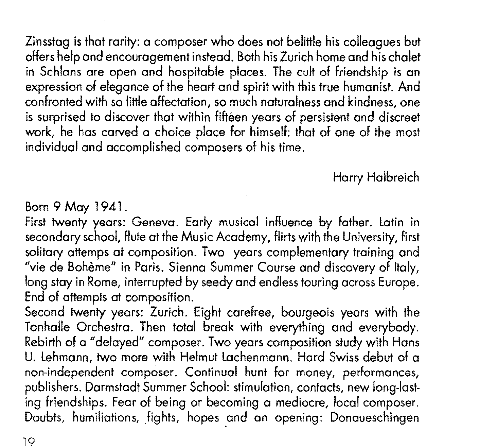Zinsstag is that rarity: a composer who does not belittle his colleagues but offers help and encouragement instead. Both his Zurich home and his chalet in Schlans are open and hospitable places. The cult of friendship is an expression of elegance of the heart and spirit with this true humanist. And confronted with so little affectation, so much naturalness and kindness, one is surprised to discover that within fifteen years of persistent and discreet work, he has carved a choice place for himself: that of one of the most individual and accomplished composers of his time.

Harry Halbreich

Born 9 May 1941.

First twenty years: Geneva. Early musical influence by father. latin in secondary school, Flute at the Music Academy, flirts with the University, first solitary attemps at composition. Two years complementary training and "vie de Boheme" in Paris. Sienna Summer Course and discovery of Italy, long stay in Rome, interrupted by seedy and endless touring across Europe. End of attempts at composition.

Second twenty years: Zurich. Eight carefree, bourgeois years with the Tonhalle Orchestra. Then total break with everything and everybody. Rebirth of a "delayed" composer. Two years composition study with Hans U. lehmann, two more with Helmut lachenmann. Hard Swiss debut of a non-independent composer. Continual hunt for money, performances, publishers. Darmstadt Summer School: stimulation, contacts, new long-lasting friendships. Fear of being or becoming a mediocre, local composer. Doubts, humiliations, fights, hopes and an opening: Donaueschingen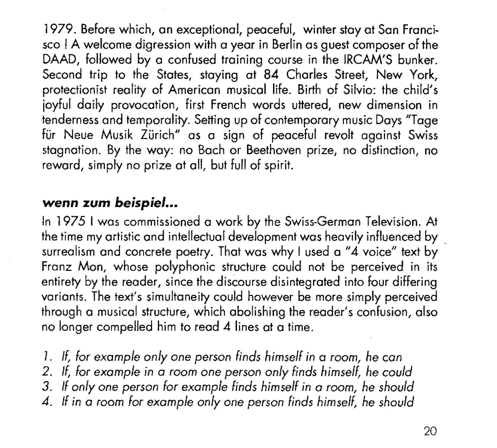1979. Before which, on exceptional, peaceful, winter stay at Son Francisco ! A welcome digression with a year in Berlin os guest composer of the DAAD, followed by a confused training course in the IRCAM'S bunker. Second trip to the States, staying at 84 Charles Street, New York, protectionist reality of American musical life. Birth of Silvio: the child's joyful doily provocation, first French words uttered, new dimension in tenderness and temporality. Setting up of contemporary music Days "Tage für Neue Musik Zürich" as a sign of peaceful revolt against Swiss stagnation. By the way: no Bach or Beethoven prize, no distinction, no reword, simply no prize at all, but full of spirit.

#### *wenn* **zum** *beispiel ...*

In 1975 I was commissioned a work by the Swiss-German Television. At the time my artistic and intellectual development was heavily influenced by \_ surrealism and concrete poetry. That was why I used a "4 voice" text by Franz Mon, whose polyphonic structure could not be perceived in its entirety by the reader, since the discourse disintegrated into four differing variants. The text's simultaneity could however be more simply perceived through a musical structure, which abolishing the reader's confusion, also no longer compelled him to read 4 lines at a time.

- 1. *If, for example only one person finds himself in* a room, *he can*
- 2. *If, for example in a room one person only finds himself, he could*
- *3. If only one person for example finds himself in a room, he should*
- *4. If in a room for example only one person finds himself, he should*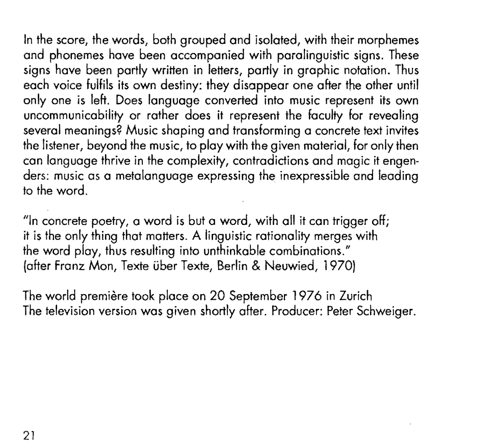In the score, the words, both grouped and isolated, with their morphemes and phonemes hove been accompanied with parolinguistic signs. These signs have been partly written in letters, partly in graphic notation. Thus each voice fulfils its own destiny: they disappear one after the other until only one is left. Does language converted into music represent its own uncommunicability or rather does it represent the faculty for revealing several meanings? Music shaping and transforming a concrete text invites the listener, beyond the music, to play with the given material, for only then can language thrive in the complexity, contradictions and magic it engen· ders: music as a metalanguage expressing the inexpressible and leading to the word.

"In concrete poetry, a word is but a word, with all it can trigger off; it is the only thing that matters. A linguistic rationality merges with the word play, thus resulting into unthinkable combinations." (after franz Mon, Texte uber Texte, Berlin & Neuwied, 1970)

The world première took place on 20 September 1976 in Zurich The television version was given shortly after. Producer: Peter Schweiger.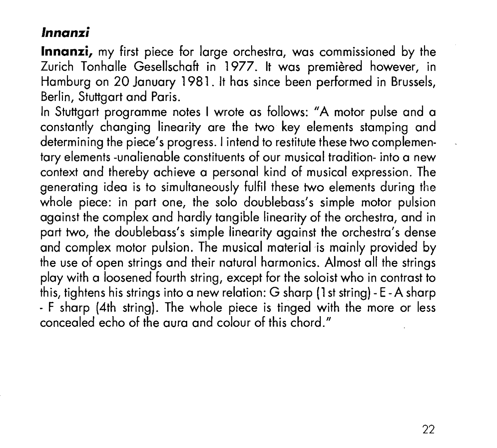#### *lnnanzi*

**lnnanzi,** my first piece for large orchestra, was commissioned by the Zurich Tonhalle Gesellschaft in 1977. It was premièred however, in Hamburg on 20 January 1981. lt has since been performed in Brussels, Berlin, Stuttgart and Paris.

In Stuttgart programme notes I wrote as follows: "A motor pulse and a constantly changing linearity are the two key elements stamping and determining the piece's progress. I intend to restitute these two complementary elements -unalienable constituents of our musical tradition- into a new context and thereby achieve a personal kind of musical expression. The generating idea is to simultaneously fulfil these two elements during the whole piece: in part one, the solo doublebass's simple motor pulsion against the complex and hardly tangible linearity of the orchestra, and in part two, the doublebass's simple linearity against the orchestra's dense and complex motor pulsion. The musical material is mainly provided by the use of open strings and their natural harmonics. Almost all the strings play with a loosened fourth string, except for the soloist who in contrast to this, tightens his strings into a new relation: G sharp (1st string)- E-A sharp - F sharp (4th string). The whole piece is tinged with the more or less concealed echo of the aura and colour of this chord."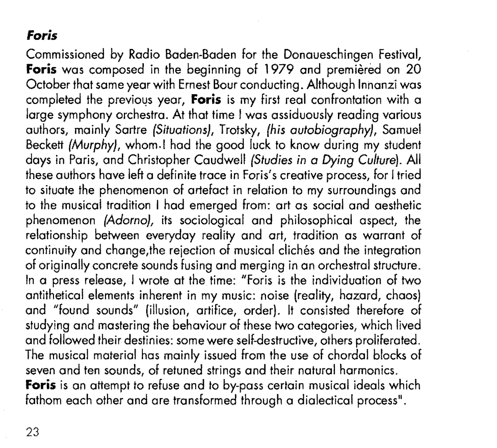### **Foris**

Commissioned by Radio Baden-Baden for the Donaueschingen Festival, Foris was composed in the beginning of 1979 and premiered on 20 October that same year with Ernest Bour conducting. Although Innanzi was completed the previous year, **Foris** is my first real confrontation with a large symphony orchestra. At that time I was assiduously reading various authors, mainly Sartre *(Situations},* Trotsky, *{his autobiography},* Samuel Beckett *(Murphy},* whom.! had the good luck to know during my student days in Paris, and Christopher Caudwell *(Studies in* a *Dying Culture).* All these authors have left a definite trace in Foris's creative process, for I tried to situate the phenomenon of artefact in relation to my surroundings and to the musical tradition I had emerged from: art as social and aesthetic phenomenon *(Adorno},* its sociological and philosophical aspect, the relationship between everyday reality and art, tradition as warrant of continuity and change, the rejection of musical clichés and the integration of originally concrete sounds fusing and merging in an orchestral structure. In a press release, I wrote at the time: "Foris is the individuation of two antithetical elements inherent in my music: noise (reality, hazard, chaos) and "found sounds" (illusion, artifice, order). lt consisted therefore of studying and mastering the behaviour of these two categories, which lived and followed their destinies: some were self-destructive, others proliferated. The musical material has mainly issued from the use of chordal blocks of seven and ten sounds, of retuned strings and their natural harmonics. Foris is an attempt to refuse and to by-pass certain musical ideals which fathom each other and are transformed through a dialectical process".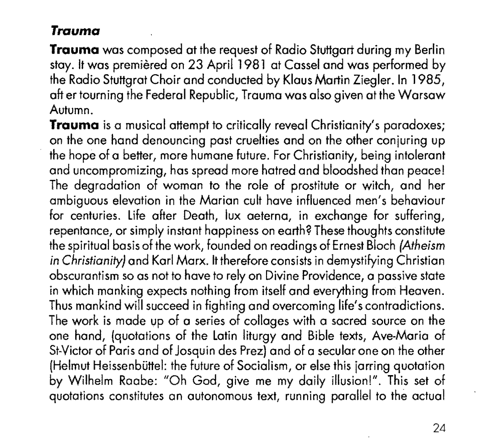## **Trauma**

**Trauma** was composed at the request of Radio Stuttgart during my Berlin stay. It was premièred on 23 April 1981 at Cassel and was performed by the Radio Stuttgrat Choir and conducted by Klaus Martin Ziegler. In 1985, aft er tourning the Federal Republic, Trauma was also given at the Warsaw Autumn.

**Trauma** is a musical attempt to critically reveal Christianity's paradoxes; on the one hand denouncing past cruelties and on the other conjuring up the hope of a better, more humane future. For Christianity, being intolerant and uncompromizing, has spread more hatred and bloodshed than peace! The degradation of woman to the role of prostitute or witch, and her ambiguous elevation in the Marian cult have influenced men's behaviour for centuries. Life after Death, lux aeterna, in exchange for suffering, repentance, or simply instant happiness on earth? These thoughts constitute the spiritual basis of the work, founded on readings of Ernes! Bloch *(Atheism in Christianity)* and Korl Marx. it therefore consists in demystifying Christian obscurantism so os not to have to rely on Divine Providence, a passive state in which manking expects nothing from itself and everything from Heaven. Thus mankind will succeed in fighting and overcoming life's contradictions. The work is made up of a series of collages with a sacred source on the one hand, {quotations of the Latin liturgy and Bible texts, Ave-Maria of St-Victor of Paris and of Josquin des Prez) and of a secular one on the other (Helmut Heissenbüttel: the future of Socialism, or else this jarring quotation by Wilhelm Raabe: "Oh God, give me my daily illusion!". This set of quotations constitutes an autonomous text, running parallel to the actual